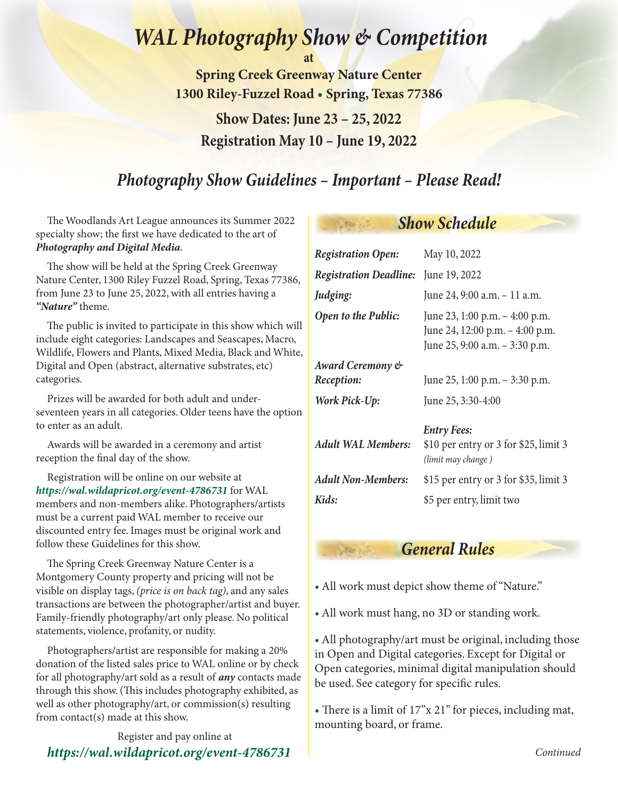# *WAL Photography Show & Competition*

**at** 

**Spring Creek Greenway Nature Center 1300 Riley-Fuzzel Road • Spring, Texas 77386**

**Show Dates: June 23 – 25, 2022 Registration May 10 – June 19, 2022**

## *Photography Show Guidelines – Important – Please Read!*

The Woodlands Art League announces its Summer 2022 specialty show; the first we have dedicated to the art of *Photography and Digital Media*.

The show will be held at the Spring Creek Greenway Nature Center, 1300 Riley Fuzzel Road, Spring, Texas 77386, from June 23 to June 25, 2022, with all entries having a *"Nature"* theme.

The public is invited to participate in this show which will include eight categories: Landscapes and Seascapes, Macro, Wildlife, Flowers and Plants, Mixed Media, Black and White, Digital and Open (abstract, alternative substrates, etc) categories.

Prizes will be awarded for both adult and underseventeen years in all categories. Older teens have the option to enter as an adult.

Awards will be awarded in a ceremony and artist reception the final day of the show.

Registration will be online on our website at *https://wal.wildapricot.org/event-4786731* for WAL members and non-members alike. Photographers/artists must be a current paid WAL member to receive our discounted entry fee. Images must be original work and follow these Guidelines for this show.

The Spring Creek Greenway Nature Center is a Montgomery County property and pricing will not be visible on display tags, *(price is on back tag)*, and any sales transactions are between the photographer/artist and buyer. Family-friendly photography/art only please. No political statements, violence, profanity, or nudity.

Photographers/artist are responsible for making a 20% donation of the listed sales price to WAL online or by check for all photography/art sold as a result of *any* contacts made through this show. (This includes photography exhibited, as well as other photography/art, or commission(s) resulting from contact(s) made at this show.

Register and pay online at *https://wal.wildapricot.org/event-478673[1](https://woodlandsartleague.org/event-4786731)*

## *Show Schedule*

| <b>Registration Open:</b>                   | May 10, 2022                                                                                        |
|---------------------------------------------|-----------------------------------------------------------------------------------------------------|
| <b>Registration Deadline:</b> June 19, 2022 |                                                                                                     |
| Judging:                                    | June 24, 9:00 a.m. - 11 a.m.                                                                        |
| Open to the Public:                         | June 23, 1:00 p.m. - 4:00 p.m.<br>June 24, 12:00 p.m. - 4:00 p.m.<br>June 25, 9:00 a.m. - 3:30 p.m. |
| Award Ceremony &                            |                                                                                                     |
| Reception:                                  | June 25, 1:00 p.m. - 3:30 p.m.                                                                      |
| Work Pick-Up:                               | June 25, 3:30-4:00                                                                                  |
| <b>Adult WAL Members:</b>                   | <b>Entry Fees:</b><br>\$10 per entry or 3 for \$25, limit 3<br>(limit may change)                   |
| <b>Adult Non-Members:</b>                   | \$15 per entry or 3 for \$35, limit 3                                                               |
| Kids:                                       | \$5 per entry, limit two                                                                            |

## *General Rules*

- All work must depict show theme of "Nature."
- All work must hang, no 3D or standing work.

• All photography/art must be original, including those in Open and Digital categories. Except for Digital or Open categories, minimal digital manipulation should be used. See category for specific rules.

• There is a limit of 17"x 21" for pieces, including mat, mounting board, or frame.